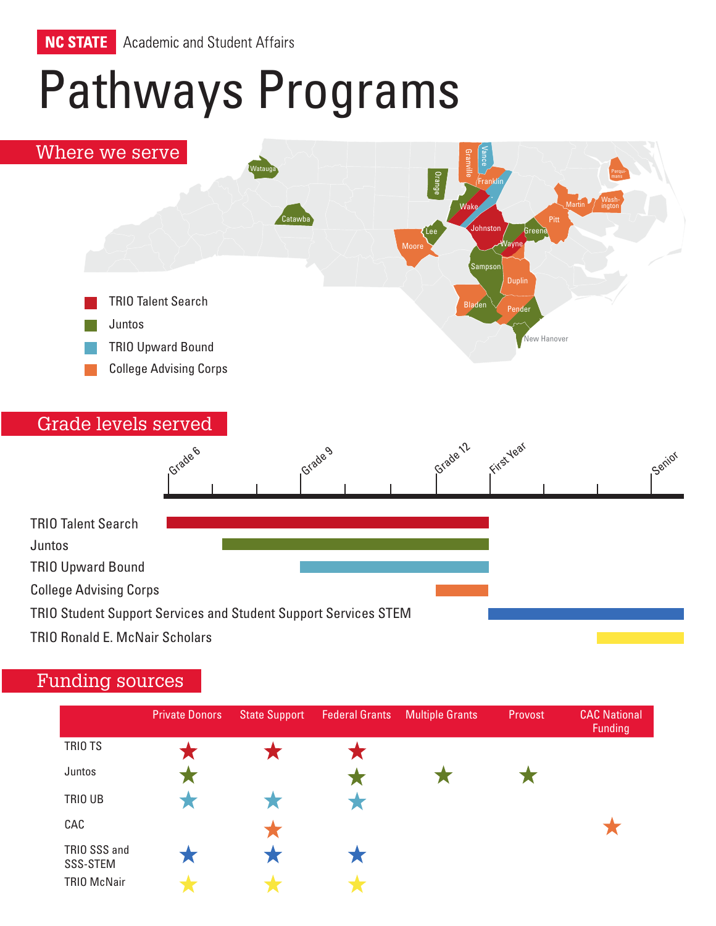

# Pathways Programs



## Funding sources

|                          | <b>Private Donors</b> | <b>State Support</b> | <b>Federal Grants</b> | <b>Multiple Grants</b> | Provost | <b>CAC National</b><br>Funding |
|--------------------------|-----------------------|----------------------|-----------------------|------------------------|---------|--------------------------------|
| TRIO TS                  |                       |                      |                       |                        |         |                                |
| Juntos                   |                       |                      |                       |                        |         |                                |
| TRIO UB                  |                       |                      |                       |                        |         |                                |
| CAC                      |                       |                      |                       |                        |         |                                |
| TRIO SSS and<br>SSS-STEM |                       |                      |                       |                        |         |                                |
| <b>TRIO McNair</b>       |                       |                      |                       |                        |         |                                |